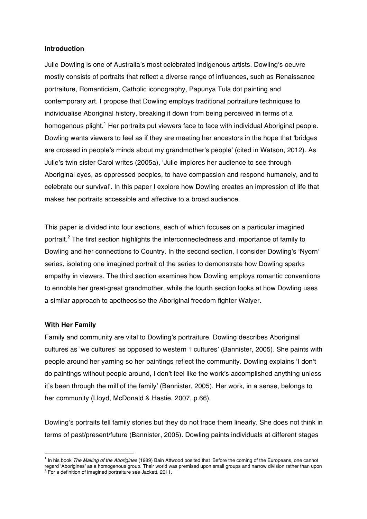## **Introduction**

Julie Dowling is one of Australia's most celebrated Indigenous artists. Dowling's oeuvre mostly consists of portraits that reflect a diverse range of influences, such as Renaissance portraiture, Romanticism, Catholic iconography, Papunya Tula dot painting and contemporary art. I propose that Dowling employs traditional portraiture techniques to individualise Aboriginal history, breaking it down from being perceived in terms of a homogenous plight.<sup>1</sup> Her portraits put viewers face to face with individual Aboriginal people. Dowling wants viewers to feel as if they are meeting her ancestors in the hope that 'bridges are crossed in people's minds about my grandmother's people' (cited in Watson, 2012). As Julie's twin sister Carol writes (2005a), 'Julie implores her audience to see through Aboriginal eyes, as oppressed peoples, to have compassion and respond humanely, and to celebrate our survival'. In this paper I explore how Dowling creates an impression of life that makes her portraits accessible and affective to a broad audience.

This paper is divided into four sections, each of which focuses on a particular imagined portrait.<sup>2</sup> The first section highlights the interconnectedness and importance of family to Dowling and her connections to Country. In the second section, I consider Dowling's 'Nyorn' series, isolating one imagined portrait of the series to demonstrate how Dowling sparks empathy in viewers. The third section examines how Dowling employs romantic conventions to ennoble her great-great grandmother, while the fourth section looks at how Dowling uses a similar approach to apotheosise the Aboriginal freedom fighter Walyer.

#### **With Her Family**

 $\overline{a}$ 

Family and community are vital to Dowling's portraiture. Dowling describes Aboriginal cultures as 'we cultures' as opposed to western 'I cultures' (Bannister, 2005). She paints with people around her yarning so her paintings reflect the community. Dowling explains 'I don't do paintings without people around, I don't feel like the work's accomplished anything unless it's been through the mill of the family' (Bannister, 2005). Her work, in a sense, belongs to her community (Lloyd, McDonald & Hastie, 2007, p.66).

Dowling's portraits tell family stories but they do not trace them linearly. She does not think in terms of past/present/future (Bannister, 2005). Dowling paints individuals at different stages

<sup>1</sup> In his book *The Making of the Aborigines* (1989) Bain Attwood posited that 'Before the coming of the Europeans, one cannot regard 'Aborigines' as a homogenous group. Their world was premised upon small groups and narrow division rather than upon <sup>2</sup> For a definition of imagined portraiture see Jackett, 2011.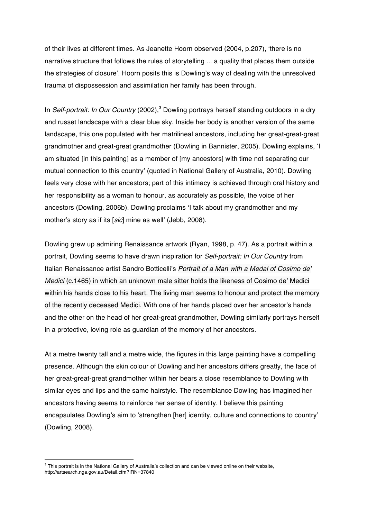of their lives at different times. As Jeanette Hoorn observed (2004, p.207), 'there is no narrative structure that follows the rules of storytelling ... a quality that places them outside the strategies of closure'. Hoorn posits this is Dowling's way of dealing with the unresolved trauma of dispossession and assimilation her family has been through.

In *Self-portrait: In Our Country* (2002),<sup>3</sup> Dowling portrays herself standing outdoors in a dry and russet landscape with a clear blue sky. Inside her body is another version of the same landscape, this one populated with her matrilineal ancestors, including her great-great-great grandmother and great-great grandmother (Dowling in Bannister, 2005). Dowling explains, 'I am situated [in this painting] as a member of [my ancestors] with time not separating our mutual connection to this country' (quoted in National Gallery of Australia, 2010). Dowling feels very close with her ancestors; part of this intimacy is achieved through oral history and her responsibility as a woman to honour, as accurately as possible, the voice of her ancestors (Dowling, 2006b). Dowling proclaims 'I talk about my grandmother and my mother's story as if its [*sic*] mine as well' (Jebb, 2008).

Dowling grew up admiring Renaissance artwork (Ryan, 1998, p. 47). As a portrait within a portrait, Dowling seems to have drawn inspiration for *Self-portrait: In Our Country* from Italian Renaissance artist Sandro Botticelli's *Portrait of a Man with a Medal of Cosimo de' Medici* (c.1465) in which an unknown male sitter holds the likeness of Cosimo de' Medici within his hands close to his heart. The living man seems to honour and protect the memory of the recently deceased Medici. With one of her hands placed over her ancestor's hands and the other on the head of her great-great grandmother, Dowling similarly portrays herself in a protective, loving role as guardian of the memory of her ancestors.

At a metre twenty tall and a metre wide, the figures in this large painting have a compelling presence. Although the skin colour of Dowling and her ancestors differs greatly, the face of her great-great-great grandmother within her bears a close resemblance to Dowling with similar eyes and lips and the same hairstyle. The resemblance Dowling has imagined her ancestors having seems to reinforce her sense of identity. I believe this painting encapsulates Dowling's aim to 'strengthen [her] identity, culture and connections to country' (Dowling, 2008).

<sup>&</sup>lt;sup>3</sup> This portrait is in the National Gallery of Australia's collection and can be viewed online on their website, http://artsearch.nga.gov.au/Detail.cfm?IRN=37840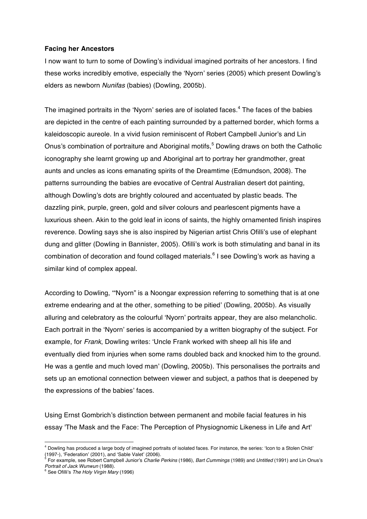# **Facing her Ancestors**

I now want to turn to some of Dowling's individual imagined portraits of her ancestors. I find these works incredibly emotive, especially the 'Nyorn' series (2005) which present Dowling's elders as newborn *Nunifas* (babies) (Dowling, 2005b).

The imagined portraits in the 'Nyorn' series are of isolated faces. $4$  The faces of the babies are depicted in the centre of each painting surrounded by a patterned border, which forms a kaleidoscopic aureole. In a vivid fusion reminiscent of Robert Campbell Junior's and Lin Onus's combination of portraiture and Aboriginal motifs,<sup>5</sup> Dowling draws on both the Catholic iconography she learnt growing up and Aboriginal art to portray her grandmother, great aunts and uncles as icons emanating spirits of the Dreamtime (Edmundson, 2008). The patterns surrounding the babies are evocative of Central Australian desert dot painting, although Dowling's dots are brightly coloured and accentuated by plastic beads. The dazzling pink, purple, green, gold and silver colours and pearlescent pigments have a luxurious sheen. Akin to the gold leaf in icons of saints, the highly ornamented finish inspires reverence. Dowling says she is also inspired by Nigerian artist Chris Ofilli's use of elephant dung and glitter (Dowling in Bannister, 2005). Ofilli's work is both stimulating and banal in its combination of decoration and found collaged materials.<sup>6</sup> I see Dowling's work as having a similar kind of complex appeal.

According to Dowling, '"Nyorn" is a Noongar expression referring to something that is at one extreme endearing and at the other, something to be pitied' (Dowling, 2005b). As visually alluring and celebratory as the colourful 'Nyorn' portraits appear, they are also melancholic. Each portrait in the 'Nyorn' series is accompanied by a written biography of the subject. For example, for *Frank*, Dowling writes: 'Uncle Frank worked with sheep all his life and eventually died from injuries when some rams doubled back and knocked him to the ground. He was a gentle and much loved man' (Dowling, 2005b). This personalises the portraits and sets up an emotional connection between viewer and subject, a pathos that is deepened by the expressions of the babies' faces.

Using Ernst Gombrich's distinction between permanent and mobile facial features in his essay 'The Mask and the Face: The Perception of Physiognomic Likeness in Life and Art'

<sup>4</sup> Dowling has produced a large body of imagined portraits of isolated faces. For instance, the series: 'Icon to a Stolen Child' (1997-), 'Federation' (2001), and 'Sable Valet' (2006).

<sup>5</sup> For example, see Robert Campbell Junior's *Charlie Perkins* (1986), *Bart Cummings* (1989) and *Untitled* (1991) and Lin Onus's

<sup>&</sup>lt;sup>6</sup> See Ofilli's *The Holy Virgin Mary* (1996).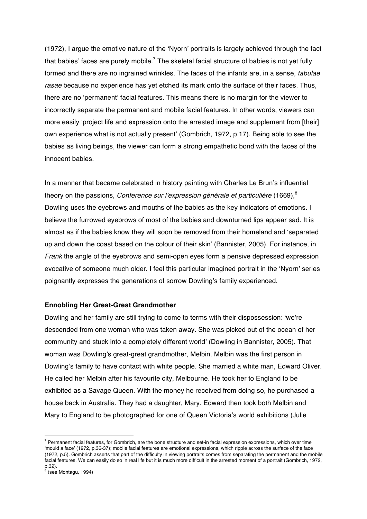(1972), I argue the emotive nature of the 'Nyorn' portraits is largely achieved through the fact that babies' faces are purely mobile.<sup>7</sup> The skeletal facial structure of babies is not yet fully formed and there are no ingrained wrinkles. The faces of the infants are, in a sense, *tabulae rasae* because no experience has yet etched its mark onto the surface of their faces. Thus, there are no 'permanent' facial features. This means there is no margin for the viewer to incorrectly separate the permanent and mobile facial features. In other words, viewers can more easily 'project life and expression onto the arrested image and supplement from [their] own experience what is not actually present' (Gombrich, 1972, p.17). Being able to see the babies as living beings, the viewer can form a strong empathetic bond with the faces of the innocent babies.

In a manner that became celebrated in history painting with Charles Le Brun's influential theory on the passions, *Conference sur l'expression générale et particulière* (1669),<sup>8</sup> Dowling uses the eyebrows and mouths of the babies as the key indicators of emotions. I believe the furrowed eyebrows of most of the babies and downturned lips appear sad. It is almost as if the babies know they will soon be removed from their homeland and 'separated up and down the coast based on the colour of their skin' (Bannister, 2005). For instance, in *Frank* the angle of the eyebrows and semi-open eyes form a pensive depressed expression evocative of someone much older. I feel this particular imagined portrait in the 'Nyorn' series poignantly expresses the generations of sorrow Dowling's family experienced.

## **Ennobling Her Great-Great Grandmother**

Dowling and her family are still trying to come to terms with their dispossession: 'we're descended from one woman who was taken away. She was picked out of the ocean of her community and stuck into a completely different world' (Dowling in Bannister, 2005). That woman was Dowling's great-great grandmother, Melbin. Melbin was the first person in Dowling's family to have contact with white people. She married a white man, Edward Oliver. He called her Melbin after his favourite city, Melbourne. He took her to England to be exhibited as a Savage Queen. With the money he received from doing so, he purchased a house back in Australia. They had a daughter, Mary. Edward then took both Melbin and Mary to England to be photographed for one of Queen Victoria's world exhibitions (Julie

 $7$  Permanent facial features, for Gombrich, are the bone structure and set-in facial expression expressions, which over time 'mould a face' (1972, p.36-37); mobile facial features are emotional expressions, which ripple across the surface of the face (1972, p.5). Gombrich asserts that part of the difficulty in viewing portraits comes from separating the permanent and the mobile facial features. We can easily do so in real life but it is much more difficult in the arrested moment of a portrait (Gombrich, 1972, p.32).

 $<sup>8</sup>$  (see Montagu, 1994)</sup>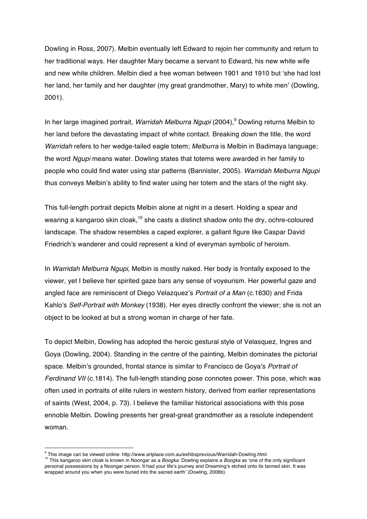Dowling in Ross, 2007). Melbin eventually left Edward to rejoin her community and return to her traditional ways. Her daughter Mary became a servant to Edward, his new white wife and new white children. Melbin died a free woman between 1901 and 1910 but 'she had lost her land, her family and her daughter (my great grandmother, Mary) to white men' (Dowling, 2001).

In her large imagined portrait, *Warridah Melburra Ngupi* (2004),<sup>9</sup> Dowling returns Melbin to her land before the devastating impact of white contact. Breaking down the title, the word *Warridah* refers to her wedge-tailed eagle totem; *Melburra* is Melbin in Badimaya language; the word *Ngupi* means water. Dowling states that totems were awarded in her family to people who could find water using star patterns (Bannister, 2005). *Warridah Melburra Ngupi*  thus conveys Melbin's ability to find water using her totem and the stars of the night sky.

This full-length portrait depicts Melbin alone at night in a desert. Holding a spear and wearing a kangaroo skin cloak, $10$  she casts a distinct shadow onto the dry, ochre-coloured landscape. The shadow resembles a caped explorer, a gallant figure like Caspar David Friedrich's wanderer and could represent a kind of everyman symbolic of heroism.

In *Warridah Melburra Ngupi*, Melbin is mostly naked. Her body is frontally exposed to the viewer, yet I believe her spirited gaze bars any sense of voyeurism. Her powerful gaze and angled face are reminiscent of Diego Velazquez's *Portrait of a Man* (c.1630) and Frida Kahlo's *Self-Portrait with Monkey* (1938). Her eyes directly confront the viewer; she is not an object to be looked at but a strong woman in charge of her fate.

To depict Melbin, Dowling has adopted the heroic gestural style of Velasquez, Ingres and Goya (Dowling, 2004). Standing in the centre of the painting, Melbin dominates the pictorial space. Melbin's grounded, frontal stance is similar to Francisco de Goya's *Portrait of Ferdinand VII* (c.1814). The full-length standing pose connotes power. This pose, which was often used in portraits of elite rulers in western history, derived from earlier representations of saints (West, 2004, p. 73). I believe the familiar historical associations with this pose ennoble Melbin. Dowling presents her great-great grandmother as a resolute independent woman.

 $^9$  This image can be viewed online: http://www.artplace.com.au/exhibsprevious/Warridah-Dowling.html

<sup>10</sup> This kangaroo skin cloak is known in Noongar as a *Boogka*. Dowling explains a *Boogka* as 'one of the only significant personal possessions by a Noongar person. It had your life's journey and Dreaming's etched onto its tanned skin. It was wrapped around you when you were buried into the sacred earth' (Dowling, 2006b).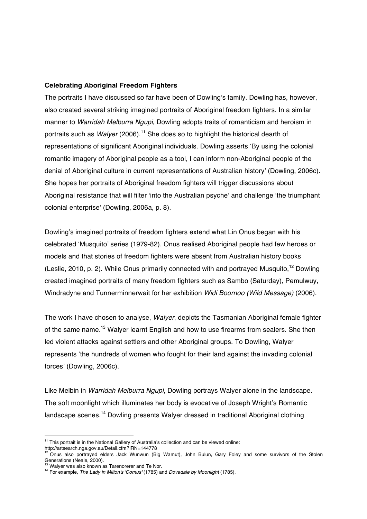# **Celebrating Aboriginal Freedom Fighters**

The portraits I have discussed so far have been of Dowling's family. Dowling has, however, also created several striking imagined portraits of Aboriginal freedom fighters. In a similar manner to *Warridah Melburra Ngupi*, Dowling adopts traits of romanticism and heroism in portraits such as *Walyer* (2006).<sup>11</sup> She does so to highlight the historical dearth of representations of significant Aboriginal individuals. Dowling asserts 'By using the colonial romantic imagery of Aboriginal people as a tool, I can inform non-Aboriginal people of the denial of Aboriginal culture in current representations of Australian history' (Dowling, 2006c). She hopes her portraits of Aboriginal freedom fighters will trigger discussions about Aboriginal resistance that will filter 'into the Australian psyche' and challenge 'the triumphant colonial enterprise' (Dowling, 2006a, p. 8).

Dowling's imagined portraits of freedom fighters extend what Lin Onus began with his celebrated 'Musquito' series (1979-82). Onus realised Aboriginal people had few heroes or models and that stories of freedom fighters were absent from Australian history books (Leslie, 2010, p. 2). While Onus primarily connected with and portraved Musquito.<sup>12</sup> Dowling created imagined portraits of many freedom fighters such as Sambo (Saturday), Pemulwuy, Windradyne and Tunnerminnerwait for her exhibition *Widi Boornoo (Wild Message)* (2006).

The work I have chosen to analyse, *Walyer*, depicts the Tasmanian Aboriginal female fighter of the same name.<sup>13</sup> Walyer learnt English and how to use firearms from sealers. She then led violent attacks against settlers and other Aboriginal groups. To Dowling, Walyer represents 'the hundreds of women who fought for their land against the invading colonial forces' (Dowling, 2006c).

Like Melbin in *Warridah Melburra Ngupi*, Dowling portrays Walyer alone in the landscape. The soft moonlight which illuminates her body is evocative of Joseph Wright's Romantic landscape scenes.<sup>14</sup> Dowling presents Walyer dressed in traditional Aboriginal clothing

<sup>&</sup>lt;sup>11</sup> This portrait is in the National Gallery of Australia's collection and can be viewed online: http://artsearch.nga.gov.au/Detail.cfm?IRN=144778

<sup>12</sup> Onus also portrayed elders Jack Wunwun (Big Wamut), John Bulun, Gary Foley and some survivors of the Stolen Generations (Neale, 2000).<br>
<sup>13</sup> Walyer was also known as Tarenorerer and Te Nor.

<sup>14</sup> For example, *The Lady in Milton's 'Comus'* (1785) and *Dovedale by Moonlight* (1785).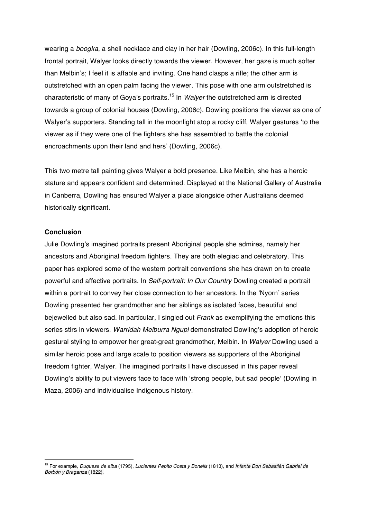wearing a *boogka*, a shell necklace and clay in her hair (Dowling, 2006c). In this full-length frontal portrait, Walyer looks directly towards the viewer. However, her gaze is much softer than Melbin's; I feel it is affable and inviting. One hand clasps a rifle; the other arm is outstretched with an open palm facing the viewer. This pose with one arm outstretched is characteristic of many of Goya's portraits.<sup>15</sup> In *Walyer* the outstretched arm is directed towards a group of colonial houses (Dowling, 2006c). Dowling positions the viewer as one of Walyer's supporters. Standing tall in the moonlight atop a rocky cliff, Walyer gestures 'to the viewer as if they were one of the fighters she has assembled to battle the colonial encroachments upon their land and hers' (Dowling, 2006c).

This two metre tall painting gives Walyer a bold presence. Like Melbin, she has a heroic stature and appears confident and determined. Displayed at the National Gallery of Australia in Canberra, Dowling has ensured Walyer a place alongside other Australians deemed historically significant.

## **Conclusion**

 $\overline{a}$ 

Julie Dowling's imagined portraits present Aboriginal people she admires, namely her ancestors and Aboriginal freedom fighters. They are both elegiac and celebratory. This paper has explored some of the western portrait conventions she has drawn on to create powerful and affective portraits. In *Self-portrait: In Our Country* Dowling created a portrait within a portrait to convey her close connection to her ancestors. In the 'Nyorn' series Dowling presented her grandmother and her siblings as isolated faces, beautiful and bejewelled but also sad. In particular, I singled out *Frank* as exemplifying the emotions this series stirs in viewers. *Warridah Melburra Ngupi* demonstrated Dowling's adoption of heroic gestural styling to empower her great-great grandmother, Melbin. In *Walyer* Dowling used a similar heroic pose and large scale to position viewers as supporters of the Aboriginal freedom fighter, Walyer. The imagined portraits I have discussed in this paper reveal Dowling's ability to put viewers face to face with 'strong people, but sad people' (Dowling in Maza, 2006) and individualise Indigenous history.

<sup>15</sup> For example, *Duquesa de alba* (1795), *Lucientes Pepito Costa y Bonells* (1813), and *Infante Don Sebastián Gabriel de Borbón y Braganza* (1822).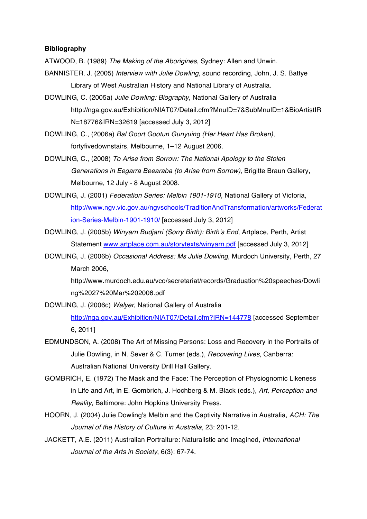# **Bibliography**

ATWOOD, B. (1989) *The Making of the Aborigines*, Sydney: Allen and Unwin.

- BANNISTER, J. (2005) *Interview with Julie Dowling*, sound recording, John, J. S. Battye Library of West Australian History and National Library of Australia.
- DOWLING, C. (2005a) *Julie Dowling: Biography*, National Gallery of Australia http://nga.gov.au/Exhibition/NIAT07/Detail.cfm?MnuID=7&SubMnuID=1&BioArtistIR N=18776&IRN=32619 [accessed July 3, 2012]
- DOWLING, C., (2006a) *Bal Goort Gootun Gunyuing (Her Heart Has Broken)*, fortyfivedownstairs, Melbourne, 1–12 August 2006.
- DOWLING, C., (2008) *To Arise from Sorrow: The National Apology to the Stolen Generations in Eegarra Beearaba (to Arise from Sorrow)*, Brigitte Braun Gallery, Melbourne, 12 July - 8 August 2008.
- DOWLING, J. (2001) *Federation Series: Melbin 1901-1910*, National Gallery of Victoria, http://www.ngv.vic.gov.au/ngvschools/TraditionAndTransformation/artworks/Federat ion-Series-Melbin-1901-1910/ [accessed July 3, 2012]
- DOWLING, J. (2005b) *Winyarn Budjarri (Sorry Birth): Birth's End*, Artplace, Perth, Artist Statement www.artplace.com.au/storytexts/winyarn.pdf [accessed July 3, 2012]
- DOWLING, J. (2006b) *Occasional Address: Ms Julie Dowling*, Murdoch University, Perth, 27 March 2006,

http://www.murdoch.edu.au/vco/secretariat/records/Graduation%20speeches/Dowli ng%2027%20Mar%202006.pdf

- DOWLING, J. (2006c) *Walyer*, National Gallery of Australia http://nga.gov.au/Exhibition/NIAT07/Detail.cfm?IRN=144778 [accessed September 6, 2011]
- EDMUNDSON, A. (2008) The Art of Missing Persons: Loss and Recovery in the Portraits of Julie Dowling, in N. Sever & C. Turner (eds.), *Recovering Lives*, Canberra: Australian National University Drill Hall Gallery.
- GOMBRICH, E. (1972) The Mask and the Face: The Perception of Physiognomic Likeness in Life and Art, in E. Gombrich, J. Hochberg & M. Black (eds.), *Art, Perception and Reality*, Baltimore: John Hopkins University Press.
- HOORN, J. (2004) Julie Dowling's Melbin and the Captivity Narrative in Australia, *ACH: The Journal of the History of Culture in Australia*, 23: 201-12.
- JACKETT, A.E. (2011) Australian Portraiture: Naturalistic and Imagined, *International Journal of the Arts in Society*, 6(3): 67-74.